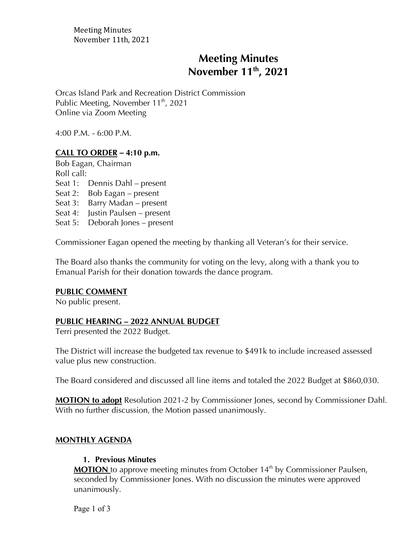Meeting Minutes November 11th, 2021

# **Meeting Minutes November 11th , 2021**

Orcas Island Park and Recreation District Commission Public Meeting, November 11<sup>th</sup>, 2021 Online via Zoom Meeting

4:00 P.M. - 6:00 P.M.

## **CALL TO ORDER** *–* **4:10 p.m.**

Bob Eagan, Chairman Roll call: Seat 1: Dennis Dahl – present Seat 2: Bob Eagan – present Seat 3: Barry Madan – present Seat 4: Justin Paulsen – present Seat 5: Deborah Jones – present

Commissioner Eagan opened the meeting by thanking all Veteran's for their service.

The Board also thanks the community for voting on the levy, along with a thank you to Emanual Parish for their donation towards the dance program.

## **PUBLIC COMMENT**

No public present.

## **PUBLIC HEARING – 2022 ANNUAL BUDGET**

Terri presented the 2022 Budget.

The District will increase the budgeted tax revenue to \$491k to include increased assessed value plus new construction.

The Board considered and discussed all line items and totaled the 2022 Budget at \$860,030.

**MOTION to adopt** Resolution 2021-2 by Commissioner Jones, second by Commissioner Dahl. With no further discussion, the Motion passed unanimously.

## **MONTHLY AGENDA**

## **1. Previous Minutes**

**MOTION** to approve meeting minutes from October 14<sup>th</sup> by Commissioner Paulsen, seconded by Commissioner Jones. With no discussion the minutes were approved unanimously.

Page 1 of 3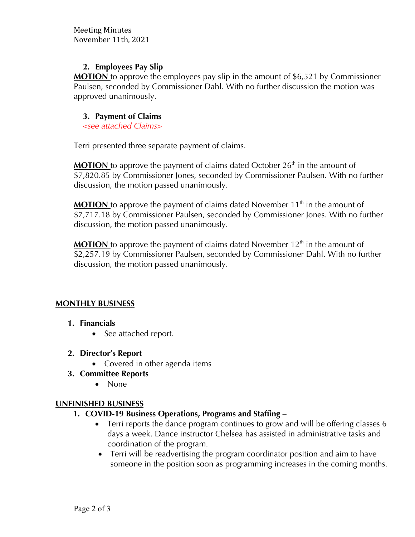# **2. Employees Pay Slip**

**MOTION** to approve the employees pay slip in the amount of \$6,521 by Commissioner Paulsen, seconded by Commissioner Dahl. With no further discussion the motion was approved unanimously.

## **3. Payment of Claims**

*<see attached Claims>*

Terri presented three separate payment of claims.

**MOTION** to approve the payment of claims dated October  $26<sup>th</sup>$  in the amount of \$7,820.85 by Commissioner Jones, seconded by Commissioner Paulsen. With no further discussion, the motion passed unanimously.

**MOTION** to approve the payment of claims dated November  $11<sup>th</sup>$  in the amount of \$7,717.18 by Commissioner Paulsen, seconded by Commissioner Jones. With no further discussion, the motion passed unanimously.

**MOTION** to approve the payment of claims dated November  $12<sup>th</sup>$  in the amount of \$2,257.19 by Commissioner Paulsen, seconded by Commissioner Dahl. With no further discussion, the motion passed unanimously.

## **MONTHLY BUSINESS**

- **1. Financials**
	- See attached report.
- **2. Director's Report**
	- Covered in other agenda items
- **3. Committee Reports**
	- None

## **UNFINISHED BUSINESS**

- **1. COVID-19 Business Operations, Programs and Staffing** 
	- Terri reports the dance program continues to grow and will be offering classes 6 days a week. Dance instructor Chelsea has assisted in administrative tasks and coordination of the program.
	- Terri will be readvertising the program coordinator position and aim to have someone in the position soon as programming increases in the coming months.